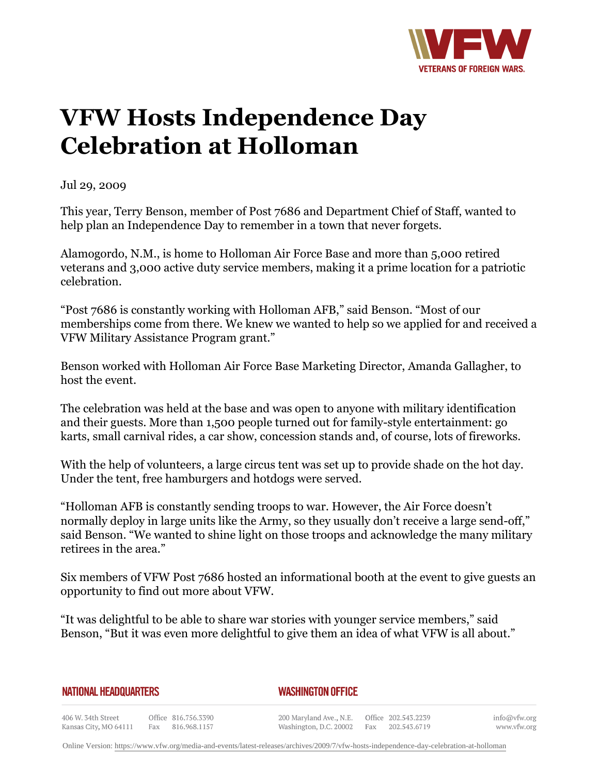

## **VFW Hosts Independence Day Celebration at Holloman**

Jul 29, 2009

This year, Terry Benson, member of Post 7686 and Department Chief of Staff, wanted to help plan an Independence Day to remember in a town that never forgets.

Alamogordo, N.M., is home to Holloman Air Force Base and more than 5,000 retired veterans and 3,000 active duty service members, making it a prime location for a patriotic celebration.

"Post 7686 is constantly working with Holloman AFB," said Benson. "Most of our memberships come from there. We knew we wanted to help so we applied for and received a VFW Military Assistance Program grant."

Benson worked with Holloman Air Force Base Marketing Director, Amanda Gallagher, to host the event.

The celebration was held at the base and was open to anyone with military identification and their guests. More than 1,500 people turned out for family-style entertainment: go karts, small carnival rides, a car show, concession stands and, of course, lots of fireworks.

With the help of volunteers, a large circus tent was set up to provide shade on the hot day. Under the tent, free hamburgers and hotdogs were served.

"Holloman AFB is constantly sending troops to war. However, the Air Force doesn't normally deploy in large units like the Army, so they usually don't receive a large send-off," said Benson. "We wanted to shine light on those troops and acknowledge the many military retirees in the area."

Six members of VFW Post 7686 hosted an informational booth at the event to give guests an opportunity to find out more about VFW.

"It was delightful to be able to share war stories with younger service members," said Benson, "But it was even more delightful to give them an idea of what VFW is all about."

## **NATIONAL HEADQUARTERS**

*WASHINGTON OFFICE* 

406 W. 34th Street Office 816.756.3390 Fax 816.968.1157 Kansas City, MO 64111

200 Maryland Ave., N.E. Washington, D.C. 20002

Office 202.543.2239 Fax 202.543.6719 info@vfw.org www.vfw.org

Online Version:<https://www.vfw.org/media-and-events/latest-releases/archives/2009/7/vfw-hosts-independence-day-celebration-at-holloman>